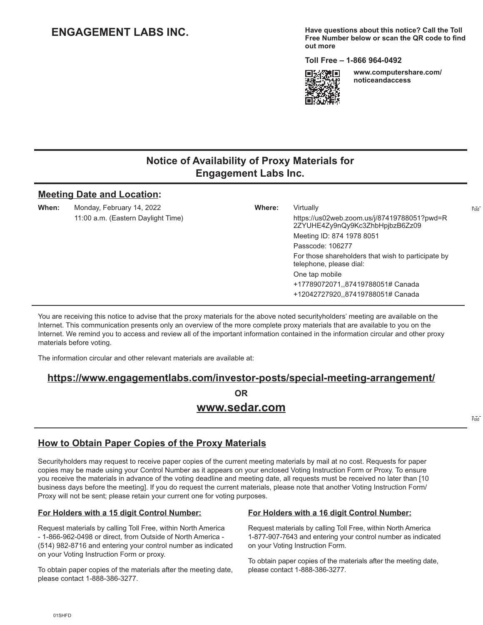# **ENGAGEMENT LABS INC.**

**Have questions about this notice? Call the Toll Free Number below or scan the QR code to find out more**

**Toll Free – 1-866 964-0492** 



**www.computershare.com/ noticeandaccess** 

## **Notice of Availability of Proxy Materials for Engagement Labs Inc.**

#### **Meeting Date and Location:**

**When:** Monday, February 14, 2022 **Where:** Virtually

11:00 a.m. (Eastern Daylight Time) https://us02web.zoom.us/j/87419788051?pwd=R 2ZYUHE4Zy9nQy9Kc3ZhbHpjbzB6Zz09 Meeting ID: 874 1978 8051 Passcode: 106277 For those shareholders that wish to participate by telephone, please dial: One tap mobile +17789072071,,87419788051# Canada +12042727920,,87419788051# Canada

You are receiving this notice to advise that the proxy materials for the above noted securityholders' meeting are available on the Internet. This communication presents only an overview of the more complete proxy materials that are available to you on the Internet. We remind you to access and review all of the important information contained in the information circular and other proxy materials before voting.

The information circular and other relevant materials are available at:

#### **https://www.engagementlabs.com/investor-posts/special-meeting-arrangement/**

**OR www.sedar.com**

Fold

Fold

# **How to Obtain Paper Copies of the Proxy Materials**

Securityholders may request to receive paper copies of the current meeting materials by mail at no cost. Requests for paper copies may be made using your Control Number as it appears on your enclosed Voting Instruction Form or Proxy. To ensure you receive the materials in advance of the voting deadline and meeting date, all requests must be received no later than [10 business days before the meeting]. If you do request the current materials, please note that another Voting Instruction Form/ Proxy will not be sent; please retain your current one for voting purposes.

### **For Holders with a 15 digit Control Number:**

Request materials by calling Toll Free, within North America - 1-866-962-0498 or direct, from Outside of North America - (514) 982-8716 and entering your control number as indicated on your Voting Instruction Form or proxy.

To obtain paper copies of the materials after the meeting date, please contact 1-888-386-3277.

#### **For Holders with a 16 digit Control Number:**

Request materials by calling Toll Free, within North America 1-877-907-7643 and entering your control number as indicated on your Voting Instruction Form.

To obtain paper copies of the materials after the meeting date, please contact 1-888-386-3277.